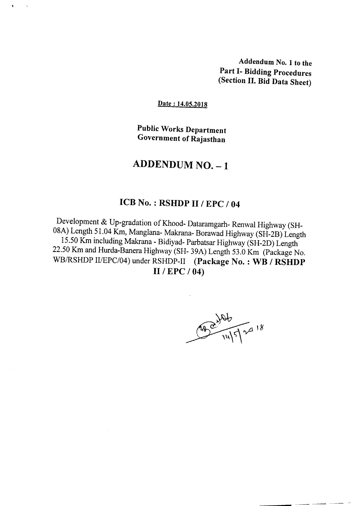Addendum No.1 to the Part I- Bidding Procedures (Section II. Bid Data Sheet)

Date: 14.05.2018

Public Works Department Government of Rajasthan

## ADDENDUM NO. - 1

## ICB No. : RSHDP II / EPC / 04

Development & Up-gradation of Khood- Dataramgarh- Renwal Highway (SH-08A) Length 51.04 Km, Manglana- Makrana- Borawad Highway (SH-2B) Length 15.50 Km including Makrana - Bidiyad- Parbatsar Highway (SH-2D) Length 22.50 Km and Hurda-Banera Highway (SH- 39A) Length 53.0 Km (Package No. WB/RSHDP II/EPC/04) under RSHDP-II (Package No.: WB / RSHDP 11/ EPC / 04)

200 14/5/2018